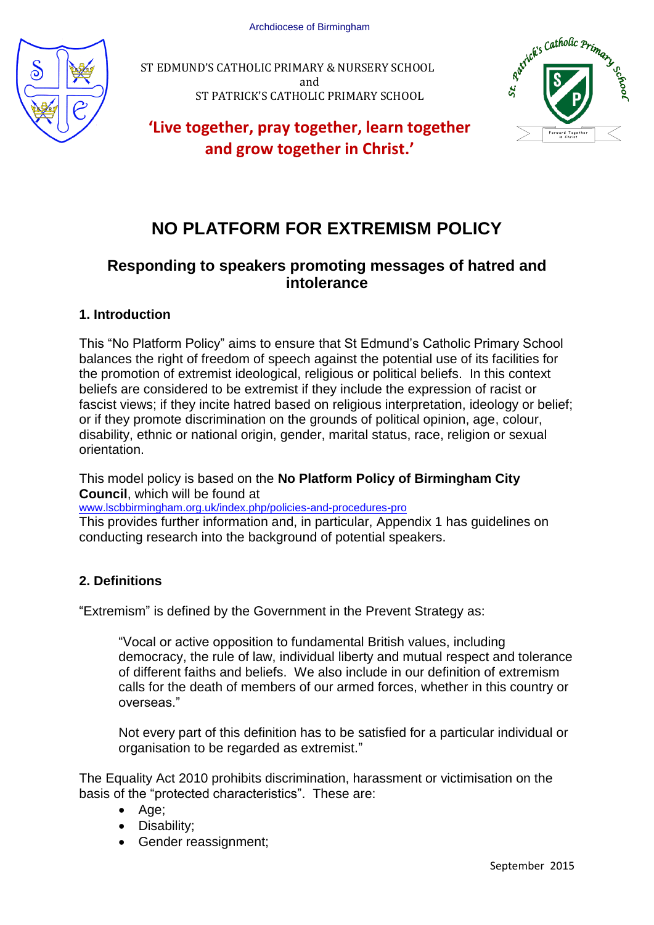

ST EDMUND'S CATHOLIC PRIMARY & NURSERY SCHOOL and ST PATRICK'S CATHOLIC PRIMARY SCHOOL



## **'Live together, pray together, learn together and grow together in Christ.'**

# **NO PLATFORM FOR EXTREMISM POLICY**

## **Responding to speakers promoting messages of hatred and intolerance**

## **1. Introduction**

This "No Platform Policy" aims to ensure that St Edmund's Catholic Primary School balances the right of freedom of speech against the potential use of its facilities for the promotion of extremist ideological, religious or political beliefs. In this context beliefs are considered to be extremist if they include the expression of racist or fascist views; if they incite hatred based on religious interpretation, ideology or belief; or if they promote discrimination on the grounds of political opinion, age, colour, disability, ethnic or national origin, gender, marital status, race, religion or sexual orientation.

This model policy is based on the **No Platform Policy of Birmingham City Council**, which will be found at

[www.lscbbirmingham.org.uk/index.php/policies-and-procedures-pro](http://www.lscbbirmingham.org.uk/index.php/policies-and-procedures-pro)

This provides further information and, in particular, Appendix 1 has guidelines on conducting research into the background of potential speakers.

## **2. Definitions**

"Extremism" is defined by the Government in the Prevent Strategy as:

"Vocal or active opposition to fundamental British values, including democracy, the rule of law, individual liberty and mutual respect and tolerance of different faiths and beliefs. We also include in our definition of extremism calls for the death of members of our armed forces, whether in this country or overseas."

Not every part of this definition has to be satisfied for a particular individual or organisation to be regarded as extremist."

The Equality Act 2010 prohibits discrimination, harassment or victimisation on the basis of the "protected characteristics". These are:

- Age;
- Disability:
- Gender reassignment: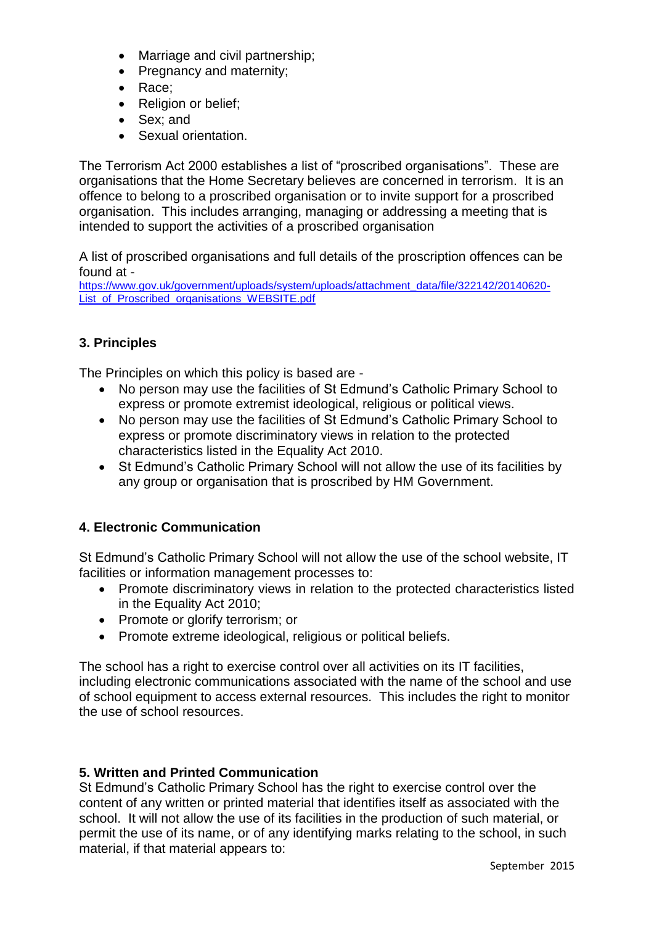- Marriage and civil partnership;
- Pregnancy and maternity;
- Race;
- Religion or belief;
- Sex: and
- Sexual orientation.

The Terrorism Act 2000 establishes a list of "proscribed organisations". These are organisations that the Home Secretary believes are concerned in terrorism. It is an offence to belong to a proscribed organisation or to invite support for a proscribed organisation. This includes arranging, managing or addressing a meeting that is intended to support the activities of a proscribed organisation

A list of proscribed organisations and full details of the proscription offences can be found at -

[https://www.gov.uk/government/uploads/system/uploads/attachment\\_data/file/322142/20140620-](https://www.gov.uk/government/uploads/system/uploads/attachment_data/file/322142/20140620-List_of_Proscribed_organisations_WEBSITE.pdf) List of Proscribed organisations WEBSITE.pdf

## **3. Principles**

The Principles on which this policy is based are -

- No person may use the facilities of St Edmund's Catholic Primary School to express or promote extremist ideological, religious or political views.
- No person may use the facilities of St Edmund's Catholic Primary School to express or promote discriminatory views in relation to the protected characteristics listed in the Equality Act 2010.
- St Edmund's Catholic Primary School will not allow the use of its facilities by any group or organisation that is proscribed by HM Government.

## **4. Electronic Communication**

St Edmund's Catholic Primary School will not allow the use of the school website, IT facilities or information management processes to:

- Promote discriminatory views in relation to the protected characteristics listed in the Equality Act 2010;
- Promote or glorify terrorism; or
- Promote extreme ideological, religious or political beliefs.

The school has a right to exercise control over all activities on its IT facilities, including electronic communications associated with the name of the school and use of school equipment to access external resources. This includes the right to monitor the use of school resources.

#### **5. Written and Printed Communication**

St Edmund's Catholic Primary School has the right to exercise control over the content of any written or printed material that identifies itself as associated with the school. It will not allow the use of its facilities in the production of such material, or permit the use of its name, or of any identifying marks relating to the school, in such material, if that material appears to: